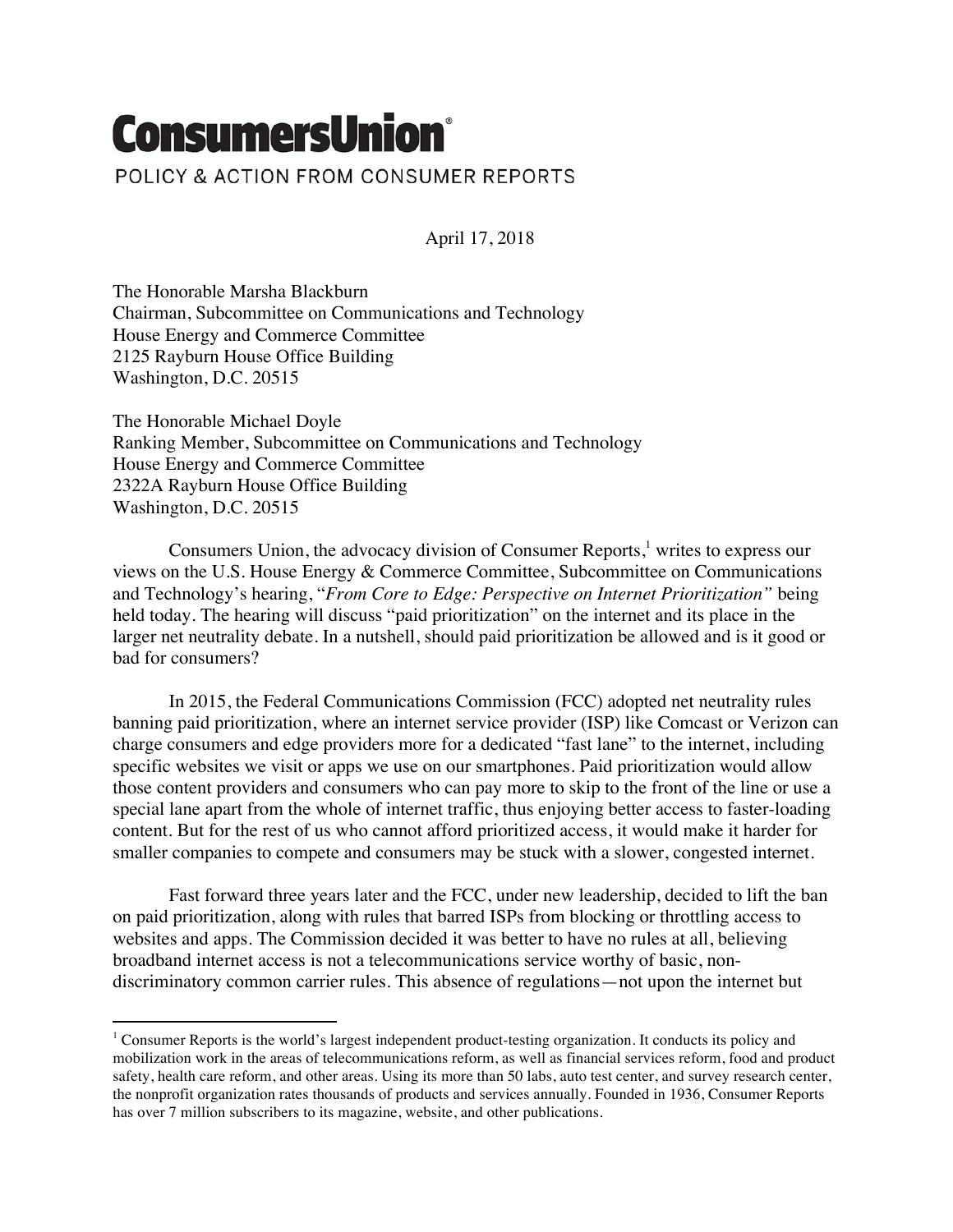## **ConsumersUnion®**

 

POLICY & ACTION FROM CONSUMER REPORTS

April 17, 2018

The Honorable Marsha Blackburn Chairman, Subcommittee on Communications and Technology House Energy and Commerce Committee 2125 Rayburn House Office Building Washington, D.C. 20515

The Honorable Michael Doyle Ranking Member, Subcommittee on Communications and Technology House Energy and Commerce Committee 2322A Rayburn House Office Building Washington, D.C. 20515

Consumers Union, the advocacy division of Consumer Reports,<sup>1</sup> writes to express our views on the U.S. House Energy & Commerce Committee, Subcommittee on Communications and Technology's hearing, "*From Core to Edge: Perspective on Internet Prioritization"* being held today. The hearing will discuss "paid prioritization" on the internet and its place in the larger net neutrality debate. In a nutshell, should paid prioritization be allowed and is it good or bad for consumers?

In 2015, the Federal Communications Commission (FCC) adopted net neutrality rules banning paid prioritization, where an internet service provider (ISP) like Comcast or Verizon can charge consumers and edge providers more for a dedicated "fast lane" to the internet, including specific websites we visit or apps we use on our smartphones. Paid prioritization would allow those content providers and consumers who can pay more to skip to the front of the line or use a special lane apart from the whole of internet traffic, thus enjoying better access to faster-loading content. But for the rest of us who cannot afford prioritized access, it would make it harder for smaller companies to compete and consumers may be stuck with a slower, congested internet.

Fast forward three years later and the FCC, under new leadership, decided to lift the ban on paid prioritization, along with rules that barred ISPs from blocking or throttling access to websites and apps. The Commission decided it was better to have no rules at all, believing broadband internet access is not a telecommunications service worthy of basic, nondiscriminatory common carrier rules. This absence of regulations—not upon the internet but

<sup>1</sup> Consumer Reports is the world's largest independent product-testing organization. It conducts its policy and mobilization work in the areas of telecommunications reform, as well as financial services reform, food and product safety, health care reform, and other areas. Using its more than 50 labs, auto test center, and survey research center, the nonprofit organization rates thousands of products and services annually. Founded in 1936, Consumer Reports has over 7 million subscribers to its magazine, website, and other publications.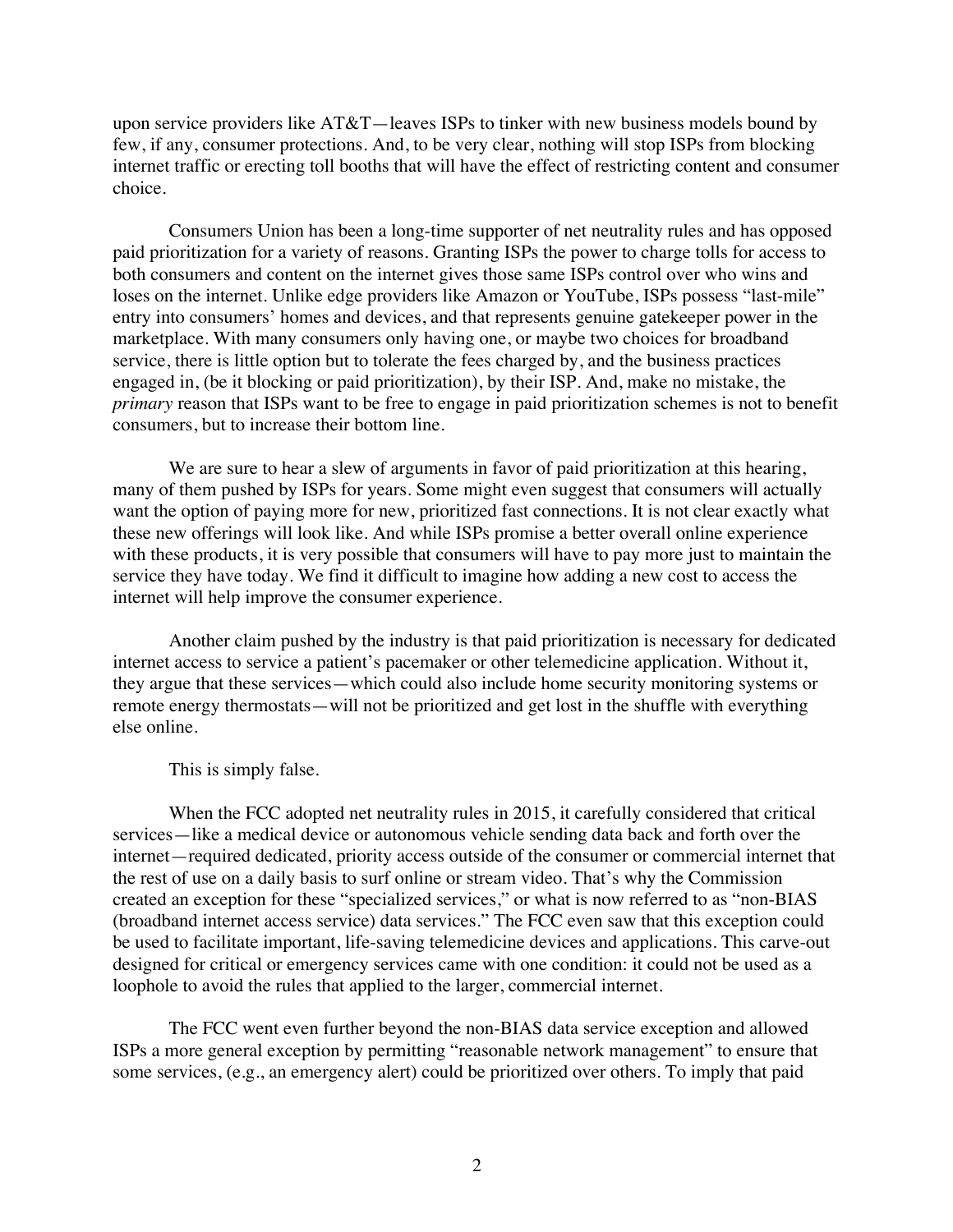upon service providers like AT&T—leaves ISPs to tinker with new business models bound by few, if any, consumer protections. And, to be very clear, nothing will stop ISPs from blocking internet traffic or erecting toll booths that will have the effect of restricting content and consumer choice.

Consumers Union has been a long-time supporter of net neutrality rules and has opposed paid prioritization for a variety of reasons. Granting ISPs the power to charge tolls for access to both consumers and content on the internet gives those same ISPs control over who wins and loses on the internet. Unlike edge providers like Amazon or YouTube, ISPs possess "last-mile" entry into consumers' homes and devices, and that represents genuine gatekeeper power in the marketplace. With many consumers only having one, or maybe two choices for broadband service, there is little option but to tolerate the fees charged by, and the business practices engaged in, (be it blocking or paid prioritization), by their ISP. And, make no mistake, the *primary* reason that ISPs want to be free to engage in paid prioritization schemes is not to benefit consumers, but to increase their bottom line.

We are sure to hear a slew of arguments in favor of paid prioritization at this hearing, many of them pushed by ISPs for years. Some might even suggest that consumers will actually want the option of paying more for new, prioritized fast connections. It is not clear exactly what these new offerings will look like. And while ISPs promise a better overall online experience with these products, it is very possible that consumers will have to pay more just to maintain the service they have today. We find it difficult to imagine how adding a new cost to access the internet will help improve the consumer experience.

Another claim pushed by the industry is that paid prioritization is necessary for dedicated internet access to service a patient's pacemaker or other telemedicine application. Without it, they argue that these services—which could also include home security monitoring systems or remote energy thermostats—will not be prioritized and get lost in the shuffle with everything else online.

This is simply false.

When the FCC adopted net neutrality rules in 2015, it carefully considered that critical services—like a medical device or autonomous vehicle sending data back and forth over the internet—required dedicated, priority access outside of the consumer or commercial internet that the rest of use on a daily basis to surf online or stream video. That's why the Commission created an exception for these "specialized services," or what is now referred to as "non-BIAS (broadband internet access service) data services." The FCC even saw that this exception could be used to facilitate important, life-saving telemedicine devices and applications. This carve-out designed for critical or emergency services came with one condition: it could not be used as a loophole to avoid the rules that applied to the larger, commercial internet.

The FCC went even further beyond the non-BIAS data service exception and allowed ISPs a more general exception by permitting "reasonable network management" to ensure that some services, (e.g., an emergency alert) could be prioritized over others. To imply that paid